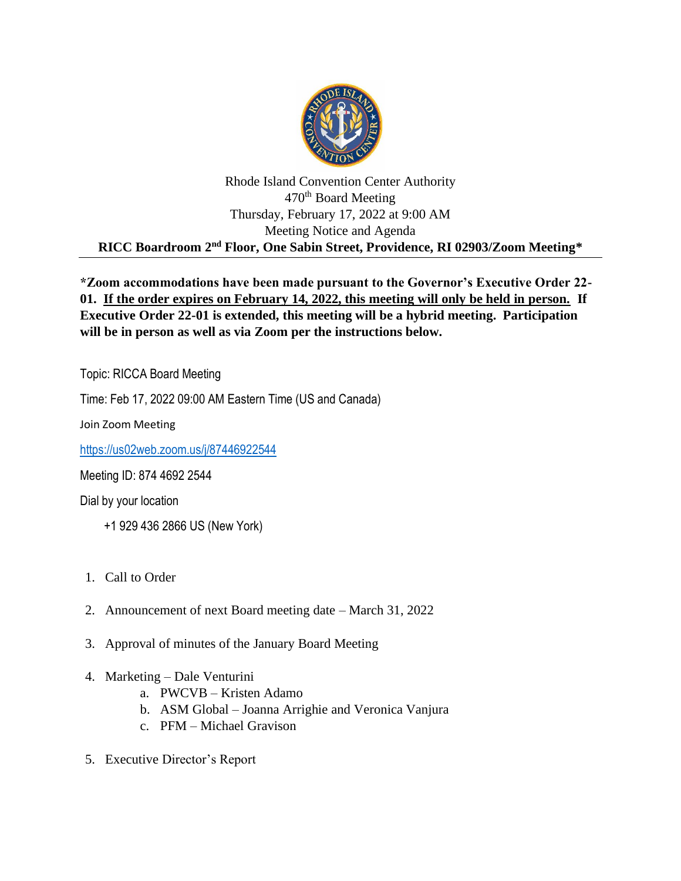

## Rhode Island Convention Center Authority 470<sup>th</sup> Board Meeting Thursday, February 17, 2022 at 9:00 AM Meeting Notice and Agenda **RICC Boardroom 2nd Floor, One Sabin Street, Providence, RI 02903/Zoom Meeting\***

## **\*Zoom accommodations have been made pursuant to the Governor's Executive Order 22- 01. If the order expires on February 14, 2022, this meeting will only be held in person. If Executive Order 22-01 is extended, this meeting will be a hybrid meeting. Participation will be in person as well as via Zoom per the instructions below.**

Topic: RICCA Board Meeting

Time: Feb 17, 2022 09:00 AM Eastern Time (US and Canada)

Join Zoom Meeting

<https://us02web.zoom.us/j/87446922544>

Meeting ID: 874 4692 2544

Dial by your location

- +1 929 436 2866 US (New York)
- 1. Call to Order
- 2. Announcement of next Board meeting date March 31, 2022
- 3. Approval of minutes of the January Board Meeting
- 4. Marketing Dale Venturini
	- a. PWCVB Kristen Adamo
	- b. ASM Global Joanna Arrighie and Veronica Vanjura
	- c. PFM Michael Gravison
- 5. Executive Director's Report